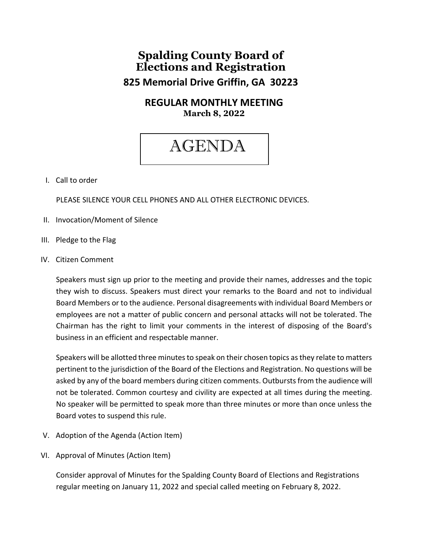## **Spalding County Board of Elections and Registration 825 Memorial Drive Griffin, GA 30223**

### **REGULAR MONTHLY MEETING March 8, 2022**

# AGENDA

#### I. Call to order

PLEASE SILENCE YOUR CELL PHONES AND ALL OTHER ELECTRONIC DEVICES.

- II. Invocation/Moment of Silence
- III. Pledge to the Flag
- IV. Citizen Comment

Speakers must sign up prior to the meeting and provide their names, addresses and the topic they wish to discuss. Speakers must direct your remarks to the Board and not to individual Board Members or to the audience. Personal disagreements with individual Board Members or employees are not a matter of public concern and personal attacks will not be tolerated. The Chairman has the right to limit your comments in the interest of disposing of the Board's business in an efficient and respectable manner.

Speakers will be allotted three minutes to speak on their chosen topics as they relate to matters pertinent to the jurisdiction of the Board of the Elections and Registration. No questions will be asked by any of the board members during citizen comments. Outbursts from the audience will not be tolerated. Common courtesy and civility are expected at all times during the meeting. No speaker will be permitted to speak more than three minutes or more than once unless the Board votes to suspend this rule.

- V. Adoption of the Agenda (Action Item)
- VI. Approval of Minutes (Action Item)

Consider approval of Minutes for the Spalding County Board of Elections and Registrations regular meeting on January 11, 2022 and special called meeting on February 8, 2022.